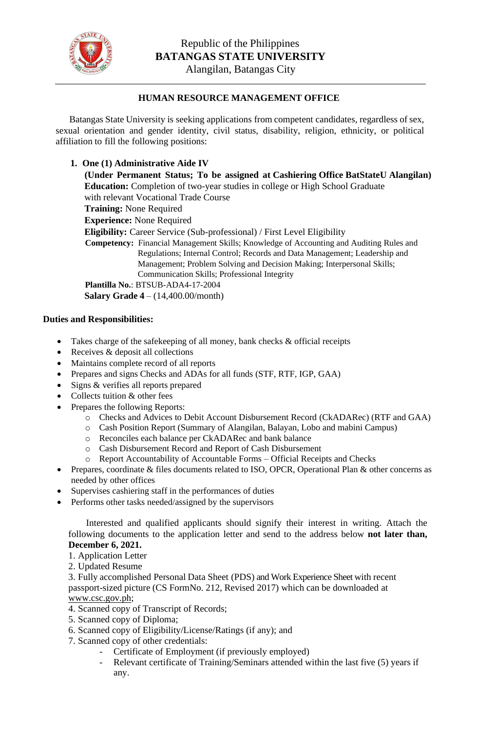

## **HUMAN RESOURCE MANAGEMENT OFFICE**

Batangas State University is seeking applications from competent candidates, regardless of sex, sexual orientation and gender identity, civil status, disability, religion, ethnicity, or political affiliation to fill the following positions:

## **1. One (1) Administrative Aide IV**

**(Under Permanent Status; To be assigned at Cashiering Office BatStateU Alangilan) Education:** Completion of two-year studies in college or High School Graduate with relevant Vocational Trade Course **Training:** None Required **Experience:** None Required **Eligibility:** Career Service (Sub-professional) / First Level Eligibility **Competency:** Financial Management Skills; Knowledge of Accounting and Auditing Rules and Regulations; Internal Control; Records and Data Management; Leadership and Management; Problem Solving and Decision Making; Interpersonal Skills; Communication Skills; Professional Integrity **Plantilla No.**: BTSUB-ADA4-17-2004 **Salary Grade 4** – (14,400.00/month)

## **Duties and Responsibilities:**

- Takes charge of the safekeeping of all money, bank checks & official receipts
- Receives & deposit all collections
- Maintains complete record of all reports
- Prepares and signs Checks and ADAs for all funds (STF, RTF, IGP, GAA)
- Signs & verifies all reports prepared
- Collects tuition & other fees
- Prepares the following Reports:
	- o Checks and Advices to Debit Account Disbursement Record (CkADARec) (RTF and GAA)
	- o Cash Position Report (Summary of Alangilan, Balayan, Lobo and mabini Campus)
	- o Reconciles each balance per CkADARec and bank balance
	- o Cash Disbursement Record and Report of Cash Disbursement
	- o Report Accountability of Accountable Forms Official Receipts and Checks
- Prepares, coordinate & files documents related to ISO, OPCR, Operational Plan & other concerns as needed by other offices
- Supervises cashiering staff in the performances of duties
- Performs other tasks needed/assigned by the supervisors

Interested and qualified applicants should signify their interest in writing. Attach the following documents to the application letter and send to the address below **not later than, December 6, 2021.**

- 1. Application Letter
- 2. Updated Resume

3. Fully accomplished Personal Data Sheet (PDS) and Work Experience Sheet with recent passport-sized picture (CS FormNo. 212, Revised 2017) which can be downloaded at [www.csc.gov.ph;](http://www.csc.gov.ph/)

- 4. Scanned copy of Transcript of Records;
- 5. Scanned copy of Diploma;
- 6. Scanned copy of Eligibility/License/Ratings (if any); and
- 7. Scanned copy of other credentials:
	- Certificate of Employment (if previously employed)
	- Relevant certificate of Training/Seminars attended within the last five (5) years if any.